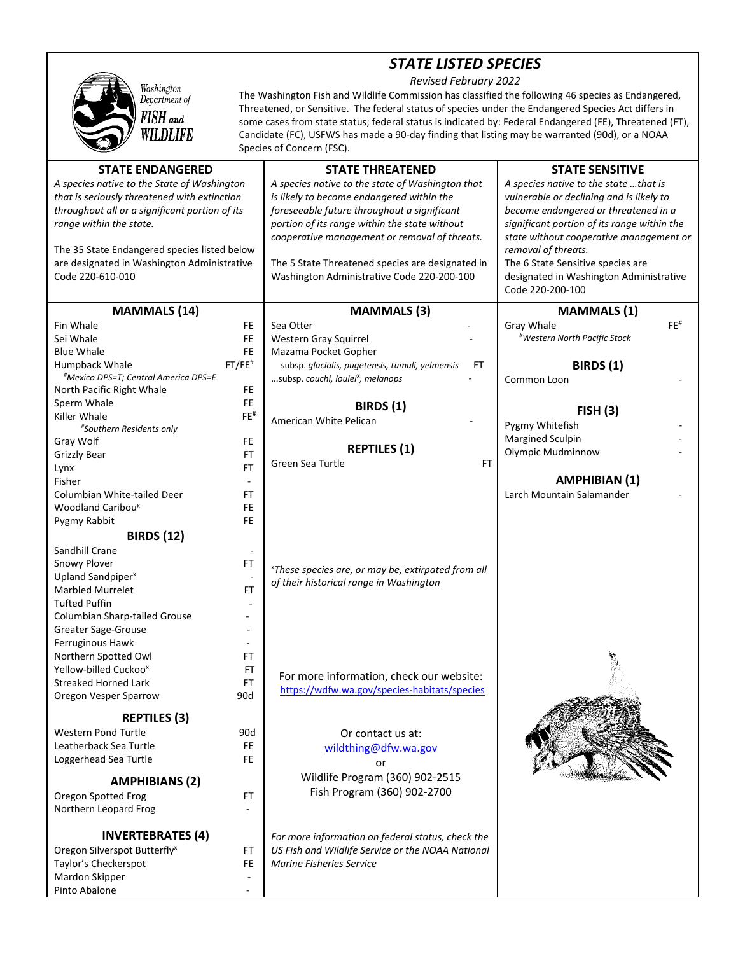## *STATE LISTED SPECIES*

*Revised February 2022* 



The Washington Fish and Wildlife Commission has classified the following 46 species as Endangered, Threatened, or Sensitive. The federal status of species under the Endangered Species Act differs in some cases from state status; federal status is indicated by: Federal Endangered (FE), Threatened (FT), Candidate (FC), USFWS has made a 90‐day finding that listing may be warranted (90d), or a NOAA Species of Concern (FSC).

| <b>STATE ENDANGERED</b>                        |                          | <b>STATE THREATENED</b>                                        | <b>STATE SENSITIVE</b>                      |  |
|------------------------------------------------|--------------------------|----------------------------------------------------------------|---------------------------------------------|--|
| A species native to the State of Washington    |                          | A species native to the state of Washington that               | A species native to the state that is       |  |
| that is seriously threatened with extinction   |                          | is likely to become endangered within the                      | vulnerable or declining and is likely to    |  |
| throughout all or a significant portion of its |                          | foreseeable future throughout a significant                    | become endangered or threatened in a        |  |
| range within the state.                        |                          | portion of its range within the state without                  | significant portion of its range within the |  |
|                                                |                          | cooperative management or removal of threats.                  | state without cooperative management or     |  |
| The 35 State Endangered species listed below   |                          |                                                                | removal of threats.                         |  |
| are designated in Washington Administrative    |                          | The 5 State Threatened species are designated in               | The 6 State Sensitive species are           |  |
| Code 220-610-010                               |                          | Washington Administrative Code 220-200-100                     | designated in Washington Administrative     |  |
|                                                |                          |                                                                | Code 220-200-100                            |  |
| <b>MAMMALS</b> (14)                            |                          | <b>MAMMALS</b> (3)                                             | <b>MAMMALS</b> (1)                          |  |
| Fin Whale                                      | FE                       | Sea Otter                                                      | FE <sup>#</sup><br>Gray Whale               |  |
| Sei Whale                                      | FE                       | Western Gray Squirrel                                          | <i>*Western North Pacific Stock</i>         |  |
| <b>Blue Whale</b>                              | <b>FE</b>                | Mazama Pocket Gopher                                           |                                             |  |
| Humpback Whale                                 | $FT/FE$ #                | subsp. glacialis, pugetensis, tumuli, yelmensis<br>FT          | <b>BIRDS</b> (1)                            |  |
| #Mexico DPS=T; Central America DPS=E           |                          | subsp. couchi, louiei <sup>x</sup> , melanops                  | Common Loon                                 |  |
| North Pacific Right Whale                      | FE.                      |                                                                |                                             |  |
| Sperm Whale                                    | <b>FE</b>                | <b>BIRDS</b> (1)                                               |                                             |  |
| Killer Whale                                   | $FE^{\#}$                | American White Pelican                                         | FISH(3)                                     |  |
| #Southern Residents only                       |                          |                                                                | Pygmy Whitefish                             |  |
| Gray Wolf                                      | FE                       |                                                                | Margined Sculpin                            |  |
| <b>Grizzly Bear</b>                            | <b>FT</b>                | <b>REPTILES (1)</b>                                            | Olympic Mudminnow                           |  |
| Lynx                                           | FT.                      | Green Sea Turtle<br>FT                                         |                                             |  |
| Fisher                                         | $\overline{\phantom{a}}$ |                                                                | <b>AMPHIBIAN (1)</b>                        |  |
| Columbian White-tailed Deer                    | FT                       |                                                                | Larch Mountain Salamander                   |  |
| Woodland Caribou <sup>x</sup>                  | FE                       |                                                                |                                             |  |
| Pygmy Rabbit                                   | <b>FE</b>                |                                                                |                                             |  |
| <b>BIRDS (12)</b>                              |                          |                                                                |                                             |  |
| Sandhill Crane                                 |                          |                                                                |                                             |  |
| Snowy Plover                                   | FT                       | <sup>x</sup> These species are, or may be, extirpated from all |                                             |  |
| Upland Sandpiper <sup>x</sup>                  |                          | of their historical range in Washington                        |                                             |  |
| <b>Marbled Murrelet</b>                        | FT                       |                                                                |                                             |  |
| <b>Tufted Puffin</b>                           |                          |                                                                |                                             |  |
| Columbian Sharp-tailed Grouse                  |                          |                                                                |                                             |  |
| Greater Sage-Grouse                            |                          |                                                                |                                             |  |
| Ferruginous Hawk                               |                          |                                                                |                                             |  |
| Northern Spotted Owl                           | FT                       |                                                                |                                             |  |
| Yellow-billed Cuckoo <sup>x</sup>              | FT                       | For more information, check our website:                       |                                             |  |
| <b>Streaked Horned Lark</b>                    | FT                       | https://wdfw.wa.gov/species-habitats/species                   |                                             |  |
| Oregon Vesper Sparrow                          | 90d                      |                                                                |                                             |  |
| <b>REPTILES (3)</b>                            |                          |                                                                |                                             |  |
| <b>Western Pond Turtle</b>                     | 90d                      | Or contact us at:                                              |                                             |  |
| Leatherback Sea Turtle                         | FE.                      | wildthing@dfw.wa.gov                                           |                                             |  |
| Loggerhead Sea Turtle                          | FE                       |                                                                |                                             |  |
|                                                |                          | or                                                             |                                             |  |
| <b>AMPHIBIANS (2)</b>                          |                          | Wildlife Program (360) 902-2515                                |                                             |  |
| Oregon Spotted Frog                            | FT                       | Fish Program (360) 902-2700                                    |                                             |  |
| Northern Leopard Frog                          |                          |                                                                |                                             |  |
|                                                |                          |                                                                |                                             |  |
| <b>INVERTEBRATES (4)</b>                       |                          | For more information on federal status, check the              |                                             |  |
| Oregon Silverspot Butterfly <sup>x</sup>       | FT                       | US Fish and Wildlife Service or the NOAA National              |                                             |  |
| Taylor's Checkerspot                           | FE                       | <b>Marine Fisheries Service</b>                                |                                             |  |
| Mardon Skipper                                 |                          |                                                                |                                             |  |
| Pinto Abalone                                  |                          |                                                                |                                             |  |